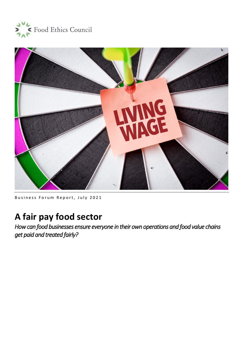



Business Forum Report, July 2021

# **A fair pay food sector**

*How can food businesses ensure everyone in their own operations and food value chains get paid and treated fairly?*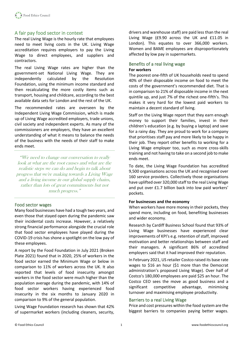

## A fair pay food sector in context

The real Living Wage is the hourly rate that employees need to meet living costs in the UK. Living Wage accreditation requires employers to pay the Living Wage to direct employees, and suppliers and contractors.

The real Living Wage rates are higher than the government-set National Living Wage. They are independently calculated by the Resolution Foundation, using the minimum income standard and then recalculating the more costly items such as transport, housing and childcare, according to the best available data sets for London and the rest of the UK.

The recommended rates are overseen by the Independent Living Wage Commission, which is made up of Living Wage accredited employers, trade unions, civil society and independent experts. As many of the commissioners are employers, they have an excellent understanding of what it means to balance the needs of the business with the needs of their staff to make ends meet.

"We need to change our conversation to really look at what are the root causes and what are the realistic steps we can do and begin to talk about progress that we're making towards a Living Wage and a living income in our global supply chains, rather than lots of great commitments but not much progress."

## Food sector wages

Many food businesses have had a tough two years, and even those that stayed open during the pandemic saw their incidental costs increase. However, a relatively strong financial performance alongside the crucial role that food sector employees have played during the COVID-19 crisis has shone a spotlight on the low pay of these employees.

A report by the Food Foundation in July 2021 (Broken Plate 2021) found that in 2020, 25% of workers in the food sector earned the Minimum Wage or below in comparison to 11% of workers across the UK. It also reported that levels of food insecurity amongst workers in the food sector were much higher than the population average during the pandemic, with 14% of food sector workers having experienced food insecurity in the six months to January 2020 in comparison to 9% of the general population.

Living Wage Foundation research has shown that 42% of supermarket workers (including cleaners, security, drivers and warehouse staff) are paid less than the real Living Wage (£9.90 across the UK and £11.05 in London). This equates to over 366,000 workers. Women and BAME employees are disproportionately affected by low pay in supermarkets.

## Benefits of a real living wage **For workers**

The poorest one-fifth of UK households need to spend 40% of their disposable income on food to meet the costs of the government's recommended diet. That is in comparison to 21% of disposable income in the next quintile up, and just 7% of the richest one-fifth's. This makes it very hard for the lowest paid workers to maintain a decent standard of living.

Staff on the Living Wage report that they earn enough money to support their families, invest in their children's education (e.g. by buying a laptop) and save for a rainy day. They are proud to work for a company that prioritises staff pay and more likely to be happy in their job. They report other benefits to working for a Living Wage employer too, such as more cross-skills training and not having to take on a second job to make ends meet.

To date, the Living Wage Foundation has accredited 9,500 organisations across the UK and recognised over 160 service providers. Collectively those organisations have uplifted over 320,000 staff to the real Living Wage and put over £1.7 billion back into low paid workers' pockets.

#### **For businesses and the economy**

When workers have more money in their pockets, they spend more, including on food, benefiting businesses and wider economy.

Research by Cardiff Business School found that 93% of Living Wage businesses have experienced clear improvements of KPI's e.g. retention of staff, improved motivation and better relationships between staff and their managers. A significant 86% of accredited employers said that it had improved their reputation.

In February 2021, US retailer Costco raised its base rate wages to \$16 an hour (\$1 more than the Democrat administration's proposed Living Wage). Over half of Costco's 180,000 employees are paid \$25 an hour. The Costco CEO sees the move as good business and a significant competitive advantage, minimising turnover and maximising employee productivity.

#### Barriers to a real Living Wage

Price and cost pressures within the food system are the biggest barriers to companies paying better wages.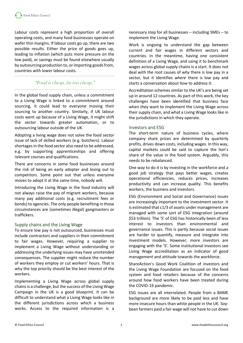Labour costs represent a high proportion of overall operating costs, and many food businesses operate on wafer thin margins. If labour costs go up, there are two possible results. Either the price of goods goes up, leading to inflation (which puts more pressure on the low paid), or savings must be found elsewhere usually by outsourcing production to, or importing goods from, countries with lower labour costs.

## "Food is cheap, far too cheap."

In the global food supply chain, unless a commitment to a Living Wage is linked to a commitment around sourcing, it could lead to everyone moving their sourcing to another country. Similarly, if UK labour costs went up because of a Living Wage, it might shift the sector towards greater automation, or to outsourcing labour outside of the UK.

Adopting a living wage does not solve the food sector issue of lack of skilled workers (e.g. butchers). Labour shortages in the food sector also need to be addressed, e.g. by supporting apprenticeships and offering relevant courses and qualifications.

There are concerns in some food businesses around the risk of being an early adopter and losing out to competitors. Some point out that unless everyone moves to adopt it at the same time, nobody will.

Introducing the Living Wage in the food industry will not always raise the pay of migrant workers, because many pay additional costs (e.g. recruitment fees or bonds) to agencies. The only people benefiting in those circumstances are (sometimes illegal) gangmasters or traffickers.

## Supply chains and the Living Wage

To ensure low pay is not outsourced, businesses must include contractors and suppliers in their commitment to fair wages. However, requiring a supplier to implement a Living Wage without understanding or addressing the underlying issues may have unintended consequences. The supplier might reduce the number of workers they employ or cut workers' hours. That is why the top priority should be the best interest of the workers.

Implementing a Living Wage across global supply chains is a challenge, but the success of the Living Wage Campaign in the UK is a good blueprint. It can be difficult to understand what a Living Wage looks like in the different jurisdictions across which a business works. Access to the required information is a necessary step for all businesses – including SMEs – to implement the Living Wage.

Work is ongoing to understand the gap between current and fair wages in different sectors and countries. In the meantime, having one consistent definition of a Living Wage, and using it to benchmark wages across global supply chains is a start. It does not deal with the root causes of *why* there is low pay in a sector, but it identifies *where* there is low pay and starts a conversation about *how* to address it.

Accreditation schemes similar to the UK's are being set up in around 12 countries. As part of this work, the key challenges have been identified that business face when they want to implement the Living Wage across their supply chain, and what a Living Wage looks like in the jurisdictions in which they operate.

## Investors and ESG

The short-term nature of business cycles, where company share prices are determined by quarterly profits, drives down costs, including wages. In this way, capital markets could be said to capture the lion's share of the value in the food system. Arguably, this needs to be rebalanced.

One way to do it is by investing in the workforce and a good job strategy that pays better wages, creates operational efficiencies, reduces prices, increases productivity and can increase quality. This benefits workers, the business and investors.

ESG (Environment and Social and Governance) issues are increasingly important to the investment sector. It is estimated that c1/3 of assets under management are managed with some sort of ESG integration (around \$53 trillion). The 'S' of ESG has historically been of less interest to investors than environmental and governance issues. This is partly because social issues are harder to quantify, measure and integrate into investment models. However, more investors are engaging with the 'S'. Some institutional investors see Living Wage accreditation as an indicator of good management and attitude towards the workforce.

ShareAction's Good Work Coalition of investors and the Living Wage Foundation are focused on the food system and food retailers because of the concerns around how food workers have been treated during the COVID-19 pandemic.

ESG issues are all interrelated. People from a BAME background are more likely to be paid less and have more insecure hours than white people in the UK. Soybean farmers paid a fair wage will not have to cut down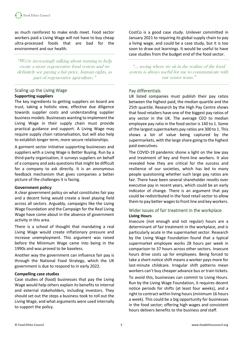as much rainforest to make ends meet. Food sector workers paid a Living Wage will not have to buy cheap ultra-processed foods that are bad for the environment and our health.

"We're increasingly talking about wanting to help create a more regenerative food system and we definitely see paying a fair price, human rights, as part of regenerative agriculture."

## Scaling up the Living Wage **Supporting suppliers**

The key ingredients to getting suppliers on board are trust, taking a holistic view, effective due diligence towards supplier costs and understanding supplier business models. Businesses wanting to implement the Living Wage in their supply chain must provide practical guidance and support. A Living Wage may require supply chain rationalisation, but will also help to establish longer term, more secure relationships.

A garment sector initiative supporting businesses and suppliers with a Living Wage is Better Buying. Run by a third-party organisation, it surveys suppliers on behalf of a company and asks questionsthat might be difficult for a company to ask directly. It is an anonymous feedback mechanism that gives companies a better picture of the challenges it is facing.

## **Government policy**

A clear government policy on what constitutes fair pay and a decent living would create a level playing field across all sectors. Arguably, campaigns like the Living Wage Foundation and the Campaign for the Real Living Wage have come about in the absence of government activity in this area.

There is a school of thought that mandating a real Living Wage would create inflationary pressure and increase unemployment. This argument was raised before the Minimum Wage came into being in the 1990s and was proved to be baseless.

Another way the government can influence fair pay is through the National Food Strategy, which the UK government is due to respond to in early 2022.

## **Compelling case studies**

Case studies of (food) businesses that pay the Living Wage would help others explain its benefits to internal and external stakeholders, including investors. They should set out the steps a business took to roll out the Living Wage, and what arguments were used internally to support the policy.

CostCo is a good case study. Unilever committed in January 2021 to requiring its global supply chain to pay a living wage, and could be a case study, but it is too soon to draw out learnings. It would be useful to have case studies from the budget end of the food sector.

"… seeing where we sit in the realms of the food system is always useful for me to communicate with our senior team."

## Pay differentials

UK listed companies must publish their pay ratios between the highest paid, the median quartile and the 25th quartile. Research by the High Pay Centre shows that food retailers have one of the biggest pay ratios of any sector in the UK. The average CEO to median employee pay ratio in the food sector is 140 to 1. Some of the largest supermarkets pay ratios are 300 to 1. This shows a lot of value being captured by the supermarkets, with the large share going to the highest paid executives.

The COVID-19 pandemic shone a light on the low pay and treatment of key and front-line workers. It also revealed how they are critical for the success and resilience of our societies, which has led to many people questioning whether such large pay ratios are fair. There have been several shareholder revolts over executive pay in recent years, which could be an early indicator of change. There is an argument that pay could be redistributed in the food retail sector to allow them to pay better wages to front line and key workers.

## Wider issues of fair treatment in the workplace **Living Hours**

Insecure (not enough and not regular) hours are a determinant of fair treatment in the workplace, and is particularly acute in the supermarket sector. Research by the Living Wage Foundation found that a typical supermarket employee works 28 hours per week in comparison to 37 hours across other sectors. Insecure hours drive costs up for employees. Being forced to take a short-notice shift means a worker pays more for last-minute childcare. Irregular shift patterns mean workers can't buy cheaper advance bus or train tickets.

To avoid this, businesses can commit to Living Hours. Run by the Living Wage Foundation, it requires decent notice periods for shifts (at least four weeks), and a right to contract within living hours (minimum 16 hours a week). This could be a big opportunity for businesses in the food sector; offering high wages and consistent hours delivers benefits to the business *and* staff.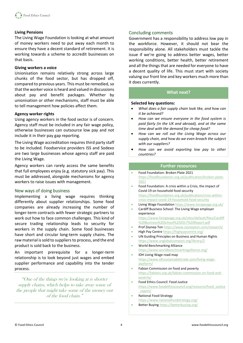## **Living Pensions**

The Living Wage Foundation is looking at what amount of money workers need to put away each month to ensure they have a decent standard of retirement. It is working towards a scheme to accredit businesses on that basis.

#### **Giving workers a voice**

Unionisation remains relatively strong across large chunks of the food sector, but has dropped off, compared to previous years. This must be remedied, so that the worker voice is heard and valued in discussions about pay and benefit packages. Whether by unionisation or other mechanisms, staff must be able to tell management how policies affect them.

#### **Agency worker rights**

Using agency workers in the food sector is of concern. Agency staff must be included in any fair wage policy, otherwise businesses can outsource low pay and not include it in their pay gap reporting.

The Living Wage accreditation requires third party staff to be included. Foodservice providers ISS and Sodexo are two large businesses whose agency staff are paid the Living Wage.

Agency workers can rarely access the same benefits that full employees enjoy (e.g. statutory sick pay). This must be addressed, alongside mechanisms for agency workers to raise issues with management.

## New ways of doing business

Implementing a living wage requires thinking differently about supplier relationships. Some food companies are already increasing the number of longer-term contracts with fewer strategic partners to work out how to face common challenges. This kind of secure trading relationship leads to security for workers in the supply chain. Some food businesses have short and circular long-term supply chains. The raw material is sold to suppliers to process, and the end product is sold back to the business.

An important prerequisite for a longer-term relationship is to look beyond just wages and embed supplier performance and capability into the tender process.

"One of the things we're looking at is shorter supply chains, which helps to take away some of the people that might take some of the money out of the food chain."

## Concluding comments

Government has a responsibility to address low pay in the workforce. However, it should not bear the responsibility alone. All stakeholders must tackle the issue if we're going to address better wages, better working conditions, better health, better retirement and all the things that are needed for everyone to have a decent quality of life. This must start with society valuing our front line and key workers much more than it does currently.

## **What next?**

#### **Selected key questions:**

- *What does a fair supply chain look like, and how can it be achieved?*
- *How can we ensure everyone in the food system is paid fairly (in the UK and abroad), and at the same time deal with the demand for cheap food?*
- *How can we roll out the Living Wage across our supply chain, and how do we even broach the subject with our suppliers?*
- *How can we avoid exporting low pay to other countries?*

#### **Further resources**

- Food Foundation: Broken Plate 2021 [https://foodfoundation.org.uk/publication/broken-plate-](https://foodfoundation.org.uk/publication/broken-plate-2021)[2021](https://foodfoundation.org.uk/publication/broken-plate-2021)
- Food Foundation: A crisis within a Crisis, the impact of Covid-19 on household food security [https://foodfoundation.org.uk/publication/crisis-within](https://foodfoundation.org.uk/publication/crisis-within-crisis-impact-covid-19-household-food-security)[crisis-impact-covid-19-household-food-security](https://foodfoundation.org.uk/publication/crisis-within-crisis-impact-covid-19-household-food-security)
- Living Wage Foundatio[n https://www.livingwage.org.uk/](https://www.livingwage.org.uk/)
- Cardiff Business School: The Living Wage employer experience [https://www.livingwage.org.uk/sites/default/files/Cardiff](https://www.livingwage.org.uk/sites/default/files/Cardiff%20Business%20School%202017%20Report.pdf)
- [%20Business%20School%202017%20Report.pdf](https://www.livingwage.org.uk/sites/default/files/Cardiff%20Business%20School%202017%20Report.pdf) • Prof Zeynep To[n https://www.zeynepton.com/research/](https://www.zeynepton.com/research/)
- High Pay Centre <https://highpaycentre.org/>
- UN Guiding Principles on Business and Human Rights <https://www.unglobalcompact.org/library/2>
- World Benchmarking Alliance <https://www.worldbenchmarkingalliance.org/>
- IDH Living Wage road map [https://www.idhsustainabletrade.com/living-wage](https://www.idhsustainabletrade.com/living-wage-platform/)[platform/](https://www.idhsustainabletrade.com/living-wage-platform/)
- Fabian Commission on food and poverty [https://fabians.org.uk/fabian-commission-on-food-and](https://fabians.org.uk/fabian-commission-on-food-and-poverty/)[poverty/](https://fabians.org.uk/fabian-commission-on-food-and-poverty/)
- Food Ethics Council: Food Justice [https://www.foodethicscouncil.org/resource/food\\_justice](https://www.foodethicscouncil.org/resource/food_justice_report/) [\\_report/](https://www.foodethicscouncil.org/resource/food_justice_report/)
- National Food Strategy <https://www.nationalfoodstrategy.org/>
- Better Buying <https://betterbuying.org/>